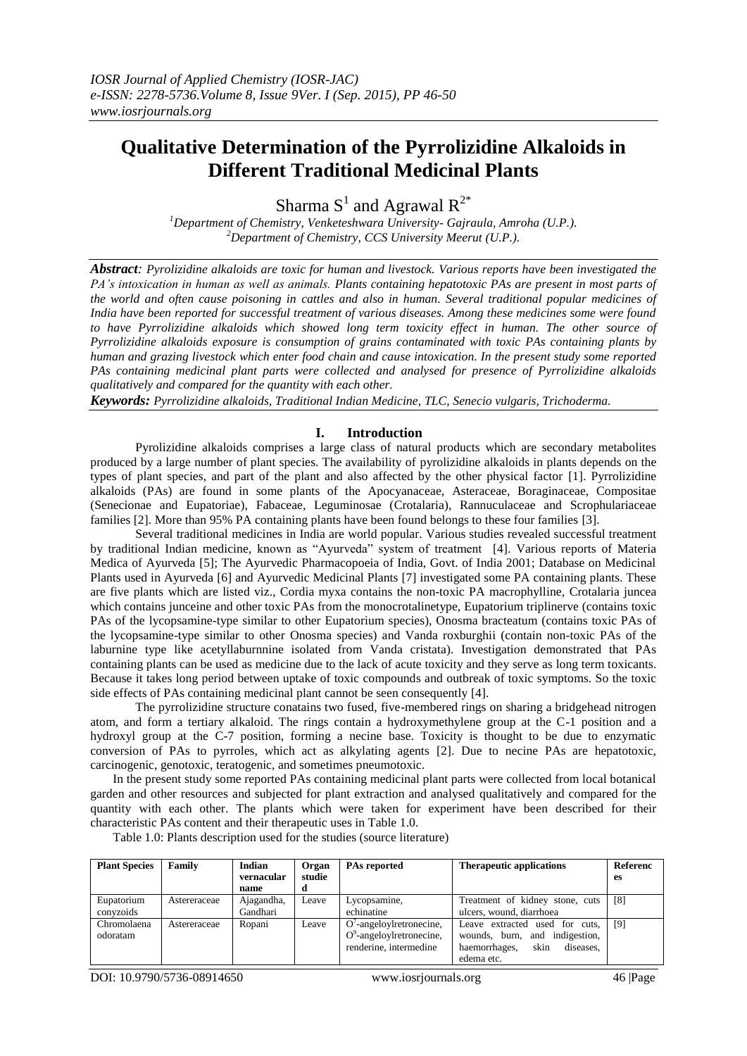# **Qualitative Determination of the Pyrrolizidine Alkaloids in Different Traditional Medicinal Plants**

Sharma  $S^1$  and Agrawal  $R^{2*}$ 

*<sup>1</sup>Department of Chemistry, Venketeshwara University- Gajraula, Amroha (U.P.). <sup>2</sup>Department of Chemistry, CCS University Meerut (U.P.).*

*Abstract: Pyrolizidine alkaloids are toxic for human and livestock. Various reports have been investigated the PA's intoxication in human as well as animals. Plants containing hepatotoxic PAs are present in most parts of the world and often cause poisoning in cattles and also in human. Several traditional popular medicines of India have been reported for successful treatment of various diseases. Among these medicines some were found to have Pyrrolizidine alkaloids which showed long term toxicity effect in human. The other source of Pyrrolizidine alkaloids exposure is consumption of grains contaminated with toxic PAs containing plants by human and grazing livestock which enter food chain and cause intoxication. In the present study some reported PAs containing medicinal plant parts were collected and analysed for presence of Pyrrolizidine alkaloids qualitatively and compared for the quantity with each other.*

*Keywords: Pyrrolizidine alkaloids, Traditional Indian Medicine, TLC, Senecio vulgaris, Trichoderma.*

### **I. Introduction**

Pyrolizidine alkaloids comprises a large class of natural products which are secondary metabolites produced by a large number of plant species. The availability of pyrolizidine alkaloids in plants depends on the types of plant species, and part of the plant and also affected by the other physical factor [1]. Pyrrolizidine alkaloids (PAs) are found in some plants of the Apocyanaceae, Asteraceae, Boraginaceae, Compositae (Senecionae and Eupatoriae), Fabaceae, Leguminosae (Crotalaria), Rannuculaceae and Scrophulariaceae families [2]. More than 95% PA containing plants have been found belongs to these four families [3].

Several traditional medicines in India are world popular. Various studies revealed successful treatment by traditional Indian medicine, known as "Ayurveda" system of treatment [4]. Various reports of Materia Medica of Ayurveda [5]; The Ayurvedic Pharmacopoeia of India, Govt. of India 2001; Database on Medicinal Plants used in Ayurveda [6] and Ayurvedic Medicinal Plants [7] investigated some PA containing plants. These are five plants which are listed viz., Cordia myxa contains the non-toxic PA macrophylline, Crotalaria juncea which contains junceine and other toxic PAs from the monocrotalinetype, Eupatorium triplinerve (contains toxic PAs of the lycopsamine-type similar to other Eupatorium species), Onosma bracteatum (contains toxic PAs of the lycopsamine-type similar to other Onosma species) and Vanda roxburghii (contain non-toxic PAs of the laburnine type like acetyllaburnnine isolated from Vanda cristata). Investigation demonstrated that PAs containing plants can be used as medicine due to the lack of acute toxicity and they serve as long term toxicants. Because it takes long period between uptake of toxic compounds and outbreak of toxic symptoms. So the toxic side effects of PAs containing medicinal plant cannot be seen consequently [4].

The pyrrolizidine structure conatains two fused, five-membered rings on sharing a bridgehead nitrogen atom, and form a tertiary alkaloid. The rings contain a hydroxymethylene group at the C-1 position and a hydroxyl group at the C-7 position, forming a necine base. Toxicity is thought to be due to enzymatic conversion of PAs to pyrroles, which act as alkylating agents [2]. Due to necine PAs are hepatotoxic, carcinogenic, genotoxic, teratogenic, and sometimes pneumotoxic.

In the present study some reported PAs containing medicinal plant parts were collected from local botanical garden and other resources and subjected for plant extraction and analysed qualitatively and compared for the quantity with each other. The plants which were taken for experiment have been described for their characteristic PAs content and their therapeutic uses in Table 1.0.

| <b>Plant Species</b>    | Family       | Indian<br>vernacular<br>name | Organ<br>studie | <b>PAs reported</b>                                                                 | <b>Therapeutic applications</b>                                                                                      | Referenc<br>es |
|-------------------------|--------------|------------------------------|-----------------|-------------------------------------------------------------------------------------|----------------------------------------------------------------------------------------------------------------------|----------------|
| Eupatorium<br>convzoids | Astereraceae | Ajagandha,<br>Gandhari       | Leave           | Lycopsamine,<br>echinatine                                                          | Treatment of kidney stone, cuts<br>ulcers, wound, diarrhoea                                                          | [8]            |
| Chromolaena<br>odoratam | Astereraceae | Ropani                       | Leave           | $O'$ -angeloylretronecine,<br>$O^9$ -angeloylretronecine,<br>renderine, intermedine | Leave extracted used for cuts,<br>wounds, burn, and indigestion,<br>skin<br>haemorrhages,<br>diseases,<br>edema etc. | [9]            |

Table 1.0: Plants description used for the studies (source literature)

DOI: 10.9790/5736-08914650 www.iosrjournals.org 46 |Page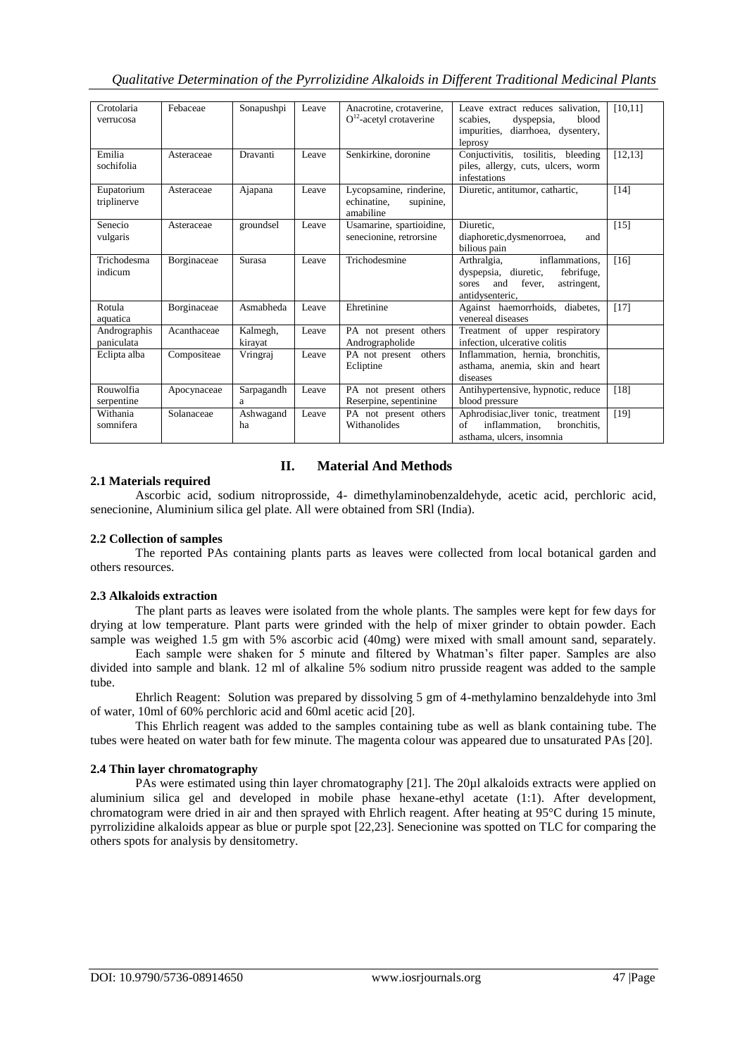| Crotolaria<br>verrucosa    | Febaceae    | Sonapushpi          | Leave | Anacrotine, crotaverine,<br>$O12$ -acetyl crotaverine            | Leave extract reduces salivation.<br>scabies.<br>blood<br>dyspepsia,<br>impurities,<br>diarrhoea, dysentery,<br>leprosy         | [10, 11] |
|----------------------------|-------------|---------------------|-------|------------------------------------------------------------------|---------------------------------------------------------------------------------------------------------------------------------|----------|
| Emilia<br>sochifolia       | Asteraceae  | Dravanti            | Leave | Senkirkine, doronine                                             | Conjuctivitis, tosilitis, bleeding<br>piles, allergy, cuts, ulcers, worm<br>infestations                                        | [12, 13] |
| Eupatorium<br>triplinerve  | Asteraceae  | Ajapana             | Leave | Lycopsamine, rinderine,<br>echinatine.<br>supinine,<br>amabiline | Diuretic, antitumor, cathartic,                                                                                                 | $[14]$   |
| Senecio<br>vulgaris        | Asteraceae  | groundsel           | Leave | Usamarine, spartioidine,<br>senecionine, retrorsine              | Diuretic.<br>diaphoretic, dysmenorroea,<br>and<br>bilious pain                                                                  | $[15]$   |
| Trichodesma<br>indicum     | Borginaceae | <b>Surasa</b>       | Leave | Trichodesmine                                                    | inflammations,<br>Arthralgia,<br>febrifuge,<br>dyspepsia, diuretic,<br>fever.<br>and<br>astringent,<br>sores<br>antidysenteric, | $[16]$   |
| Rotula<br>aquatica         | Borginaceae | Asmabheda           | Leave | Ehretinine                                                       | Against haemorrhoids, diabetes,<br>venereal diseases                                                                            | $[17]$   |
| Andrographis<br>paniculata | Acanthaceae | Kalmegh,<br>kirayat | Leave | PA not present others<br>Andrographolide                         | Treatment of upper respiratory<br>infection, ulcerative colitis                                                                 |          |
| Eclipta alba               | Compositeae | Vringraj            | Leave | PA not present<br>others<br>Ecliptine                            | Inflammation, hernia, bronchitis,<br>asthama, anemia, skin and heart<br>diseases                                                |          |
| Rouwolfia<br>serpentine    | Apocynaceae | Sarpagandh<br>a     | Leave | PA not present others<br>Reserpine, sepentinine                  | Antihypertensive, hypnotic, reduce<br>blood pressure                                                                            | [18]     |
| Withania<br>somnifera      | Solanaceae  | Ashwagand<br>ha     | Leave | PA not present others<br>Withanolides                            | Aphrodisiac, liver tonic, treatment<br>of<br>inflammation.<br>bronchitis,<br>asthama, ulcers, insomnia                          | [19]     |

## **II. Material And Methods**

### **2.1 Materials required**

Ascorbic acid, sodium nitroprosside, 4- dimethylaminobenzaldehyde, acetic acid, perchloric acid, senecionine, Aluminium silica gel plate. All were obtained from SRl (India).

## **2.2 Collection of samples**

The reported PAs containing plants parts as leaves were collected from local botanical garden and others resources.

#### **2.3 Alkaloids extraction**

The plant parts as leaves were isolated from the whole plants. The samples were kept for few days for drying at low temperature. Plant parts were grinded with the help of mixer grinder to obtain powder. Each sample was weighed 1.5 gm with 5% ascorbic acid (40mg) were mixed with small amount sand, separately.

Each sample were shaken for 5 minute and filtered by Whatman's filter paper. Samples are also divided into sample and blank. 12 ml of alkaline 5% sodium nitro prusside reagent was added to the sample tube.

Ehrlich Reagent: Solution was prepared by dissolving 5 gm of 4-methylamino benzaldehyde into 3ml of water, 10ml of 60% perchloric acid and 60ml acetic acid [20].

This Ehrlich reagent was added to the samples containing tube as well as blank containing tube. The tubes were heated on water bath for few minute. The magenta colour was appeared due to unsaturated PAs [20].

## **2.4 Thin layer chromatography**

PAs were estimated using thin layer chromatography [21]. The 20µl alkaloids extracts were applied on aluminium silica gel and developed in mobile phase hexane-ethyl acetate (1:1). After development, chromatogram were dried in air and then sprayed with Ehrlich reagent. After heating at 95°C during 15 minute, pyrrolizidine alkaloids appear as blue or purple spot [22,23]. Senecionine was spotted on TLC for comparing the others spots for analysis by densitometry.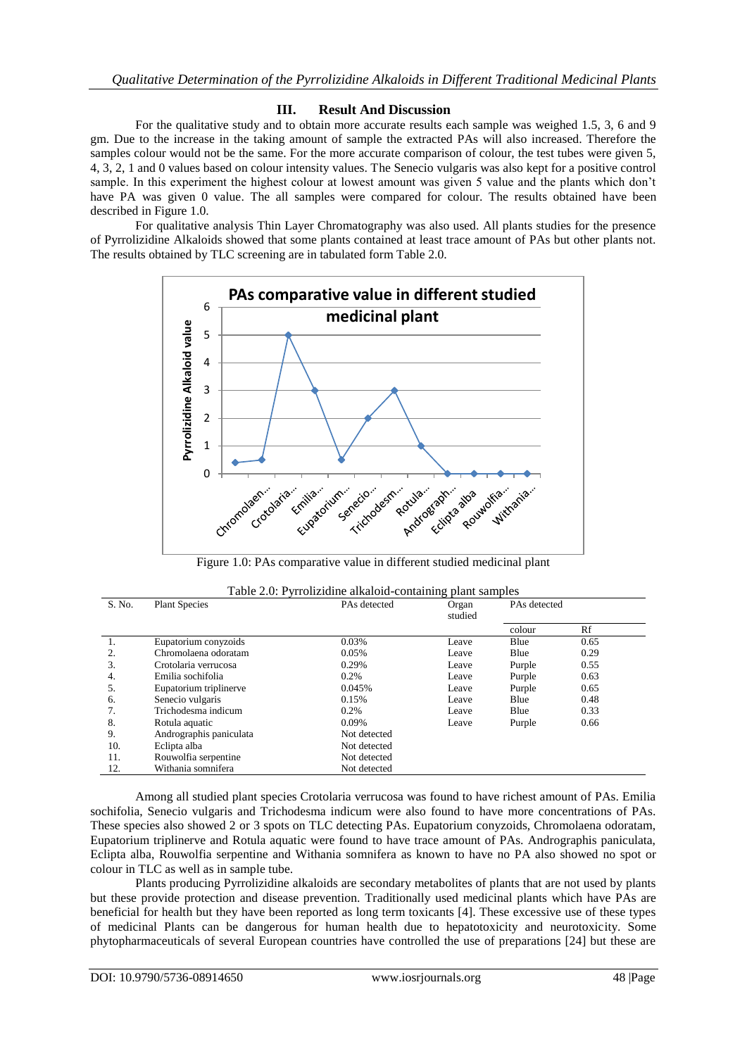### **III. Result And Discussion**

For the qualitative study and to obtain more accurate results each sample was weighed 1.5, 3, 6 and 9 gm. Due to the increase in the taking amount of sample the extracted PAs will also increased. Therefore the samples colour would not be the same. For the more accurate comparison of colour, the test tubes were given 5, 4, 3, 2, 1 and 0 values based on colour intensity values. The Senecio vulgaris was also kept for a positive control sample. In this experiment the highest colour at lowest amount was given 5 value and the plants which don't have PA was given 0 value. The all samples were compared for colour. The results obtained have been described in Figure 1.0.

For qualitative analysis Thin Layer Chromatography was also used. All plants studies for the presence of Pyrrolizidine Alkaloids showed that some plants contained at least trace amount of PAs but other plants not. The results obtained by TLC screening are in tabulated form Table 2.0.



Figure 1.0: PAs comparative value in different studied medicinal plant

| S. No. | <b>Plant Species</b>    | PAs detected | Organ<br>studied | PAs detected |      |
|--------|-------------------------|--------------|------------------|--------------|------|
|        |                         |              |                  | colour       | Rf   |
| 1.     | Eupatorium conyzoids    | 0.03%        | Leave            | Blue         | 0.65 |
|        | Chromolaena odoratam    | 0.05%        | Leave            | Blue         | 0.29 |
| 3.     | Crotolaria verrucosa    | 0.29%        | Leave            | Purple       | 0.55 |
| 4.     | Emilia sochifolia       | 0.2%         | Leave            | Purple       | 0.63 |
| 5.     | Eupatorium triplinerve  | 0.045%       | Leave            | Purple       | 0.65 |
| 6.     | Senecio vulgaris        | 0.15%        | Leave            | Blue         | 0.48 |
|        | Trichodesma indicum     | $0.2\%$      | Leave            | Blue         | 0.33 |
| 8.     | Rotula aquatic          | 0.09%        | Leave            | Purple       | 0.66 |
| 9.     | Andrographis paniculata | Not detected |                  |              |      |
| 10.    | Eclipta alba            | Not detected |                  |              |      |
| 11.    | Rouwolfia serpentine    | Not detected |                  |              |      |
| 12.    | Withania somnifera      | Not detected |                  |              |      |

|  |  | Table 2.0: Pyrrolizidine alkaloid-containing plant samples |
|--|--|------------------------------------------------------------|
|  |  |                                                            |

Among all studied plant species Crotolaria verrucosa was found to have richest amount of PAs. Emilia sochifolia, Senecio vulgaris and Trichodesma indicum were also found to have more concentrations of PAs. These species also showed 2 or 3 spots on TLC detecting PAs. Eupatorium conyzoids, Chromolaena odoratam, Eupatorium triplinerve and Rotula aquatic were found to have trace amount of PAs. Andrographis paniculata, Eclipta alba, Rouwolfia serpentine and Withania somnifera as known to have no PA also showed no spot or colour in TLC as well as in sample tube.

Plants producing Pyrrolizidine alkaloids are secondary metabolites of plants that are not used by plants but these provide protection and disease prevention. Traditionally used medicinal plants which have PAs are beneficial for health but they have been reported as long term toxicants [4]. These excessive use of these types of medicinal Plants can be dangerous for human health due to hepatotoxicity and neurotoxicity. Some phytopharmaceuticals of several European countries have controlled the use of preparations [24] but these are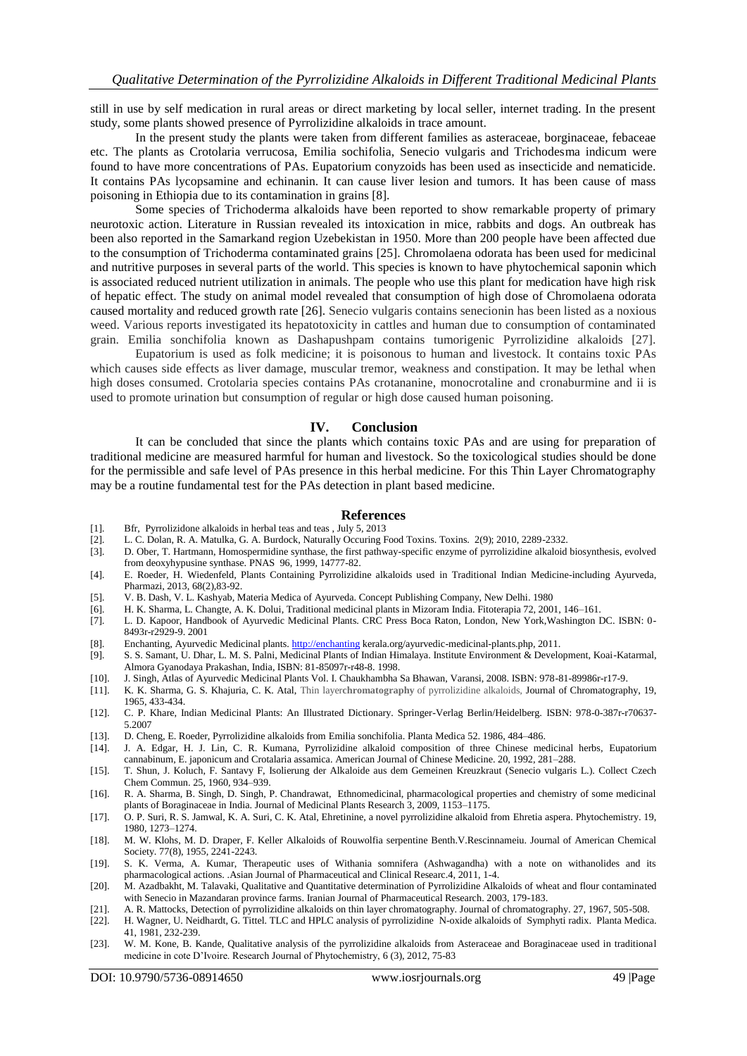still in use by self medication in rural areas or direct marketing by local seller, internet trading. In the present study, some plants showed presence of Pyrrolizidine alkaloids in trace amount.

In the present study the plants were taken from different families as asteraceae, borginaceae, febaceae etc. The plants as Crotolaria verrucosa, Emilia sochifolia, Senecio vulgaris and Trichodesma indicum were found to have more concentrations of PAs. Eupatorium conyzoids has been used as insecticide and nematicide. It contains PAs lycopsamine and echinanin. It can cause liver lesion and tumors. It has been cause of mass poisoning in Ethiopia due to its contamination in grains [8].

Some species of Trichoderma alkaloids have been reported to show remarkable property of primary neurotoxic action. Literature in Russian revealed its intoxication in mice, rabbits and dogs. An outbreak has been also reported in the Samarkand region Uzebekistan in 1950. More than 200 people have been affected due to the consumption of Trichoderma contaminated grains [25]. Chromolaena odorata has been used for medicinal and nutritive purposes in several parts of the world. This species is known to have phytochemical saponin which is associated reduced nutrient utilization in animals. The people who use this plant for medication have high risk of hepatic effect. The study on animal model revealed that consumption of high dose of Chromolaena odorata caused mortality and reduced growth rate [26]. Senecio vulgaris contains senecionin has been listed as a noxious weed. Various reports investigated its hepatotoxicity in cattles and human due to consumption of contaminated grain. Emilia sonchifolia known as Dashapushpam contains tumorigenic Pyrrolizidine alkaloids [27].

Eupatorium is used as folk medicine; it is poisonous to human and livestock. It contains toxic PAs which causes side effects as liver damage, muscular tremor, weakness and constipation. It may be lethal when high doses consumed. Crotolaria species contains PAs crotananine, monocrotaline and cronaburmine and ii is used to promote urination but consumption of regular or high dose caused human poisoning.

#### **IV. Conclusion**

It can be concluded that since the plants which contains toxic PAs and are using for preparation of traditional medicine are measured harmful for human and livestock. So the toxicological studies should be done for the permissible and safe level of PAs presence in this herbal medicine. For this Thin Layer Chromatography may be a routine fundamental test for the PAs detection in plant based medicine.

#### **References**

- [1]. Bfr, Pyrrolizidone alkaloids in herbal teas and teas , July 5, 2013
- [2]. L. C. Dolan, R. A. Matulka, G. A. Burdock, Naturally Occuring Food Toxins. Toxins. 2(9); 2010, 2289-2332.
- [3]. D. Ober, T. Hartmann, Homospermidine synthase, the first pathway-specific enzyme of pyrrolizidine alkaloid biosynthesis, evolved from deoxyhypusine synthase. PNAS 96, 1999, 14777-82.
- [4]. E. Roeder, H. Wiedenfeld, Plants Containing Pyrrolizidine alkaloids used in Traditional Indian Medicine-including Ayurveda, Pharmazi, 2013, 68(2),83-92.
- [5]. V. B. Dash, V. L. Kashyab, Materia Medica of Ayurveda. Concept Publishing Company, New Delhi. 1980
- [6]. H. K. Sharma, L. Changte, A. K. Dolui, Traditional medicinal plants in Mizoram India. Fitoterapia 72, 2001, 146–161.
- [7]. L. D. Kapoor, Handbook of Ayurvedic Medicinal Plants. CRC Press Boca Raton, London, New York,Washington DC. ISBN: 0- 8493r-r2929-9. 2001
- [8]. Enchanting, Ayurvedic Medicinal plants[. http://enchanting](http://enchanting/) kerala.org/ayurvedic-medicinal-plants.php, 2011.
- [9]. S. S. Samant, U. Dhar, L. M. S. Palni, Medicinal Plants of Indian Himalaya. Institute Environment & Development, Koai-Katarmal, Almora Gyanodaya Prakashan, India, ISBN: 81-85097r-r48-8. 1998.
- [10]. J. Singh, Atlas of Ayurvedic Medicinal Plants Vol. I. Chaukhambha Sa Bhawan, Varansi, 2008. ISBN: 978-81-89986r-r17-9.
- [11]. K. K. Sharma, G. S. Khajuria, C. K. Atal, Thin layer**chromatography** of pyrrolizidine alkaloids, Journal of Chromatography, 19, 1965, 433-434.
- [12]. C. P. Khare, Indian Medicinal Plants: An Illustrated Dictionary. Springer-Verlag Berlin/Heidelberg. ISBN: 978-0-387r-r70637- 5.2007
- [13]. D. Cheng, E. Roeder, Pyrrolizidine alkaloids from Emilia sonchifolia. Planta Medica 52. 1986, 484–486.
- [14]. J. A. Edgar, H. J. Lin, C. R. Kumana, Pyrrolizidine alkaloid composition of three Chinese medicinal herbs, Eupatorium cannabinum, E. japonicum and Crotalaria assamica. American Journal of Chinese Medicine. 20, 1992, 281–288.
- [15]. T. Shun, J. Koluch, F. Santavy F, Isolierung der Alkaloide aus dem Gemeinen Kreuzkraut (Senecio vulgaris L.). Collect Czech Chem Commun. 25, 1960, 934–939.
- [16]. R. A. Sharma, B. Singh, D. Singh, P. Chandrawat, Ethnomedicinal, pharmacological properties and chemistry of some medicinal plants of Boraginaceae in India. Journal of Medicinal Plants Research 3, 2009, 1153–1175.
- [17]. O. P. Suri, R. S. Jamwal, K. A. Suri, C. K. Atal, Ehretinine, a novel pyrrolizidine alkaloid from Ehretia aspera. Phytochemistry. 19, 1980, 1273–1274.
- [18]. M. W. Klohs, M. D. Draper, F. Keller Alkaloids of Rouwolfia serpentine Benth.V.Rescinnameiu. Journal of American Chemical Society. 77(8), 1955, 2241-2243.
- [19]. S. K. Verma, A. Kumar, Therapeutic uses of Withania somnifera (Ashwagandha) with a note on withanolides and its pharmacological actions. .Asian Journal of Pharmaceutical and Clinical Researc.4, 2011, 1-4.
- [20]. M. Azadbakht, M. Talavaki, Qualitative and Quantitative determination of Pyrrolizidine Alkaloids of wheat and flour contaminated with Senecio in Mazandaran province farms. Iranian Journal of Pharmaceutical Research. 2003, 179-183.
- [21]. A. R. Mattocks, Detection of pyrrolizidine alkaloids on thin layer chromatography. Journal of chromatography. 27, 1967, 505-508.
- [22]. H. Wagner, U. Neidhardt, G. Tittel. TLC and HPLC analysis of pyrrolizidine N-oxide alkaloids of Symphyti radix. Planta Medica. 41, 1981, 232-239.
- [23]. W. M. Kone, B. Kande, Qualitative analysis of the pyrrolizidine alkaloids from Asteraceae and Boraginaceae used in traditional medicine in cote D'Ivoire. Research Journal of Phytochemistry, 6 (3), 2012, 75-83